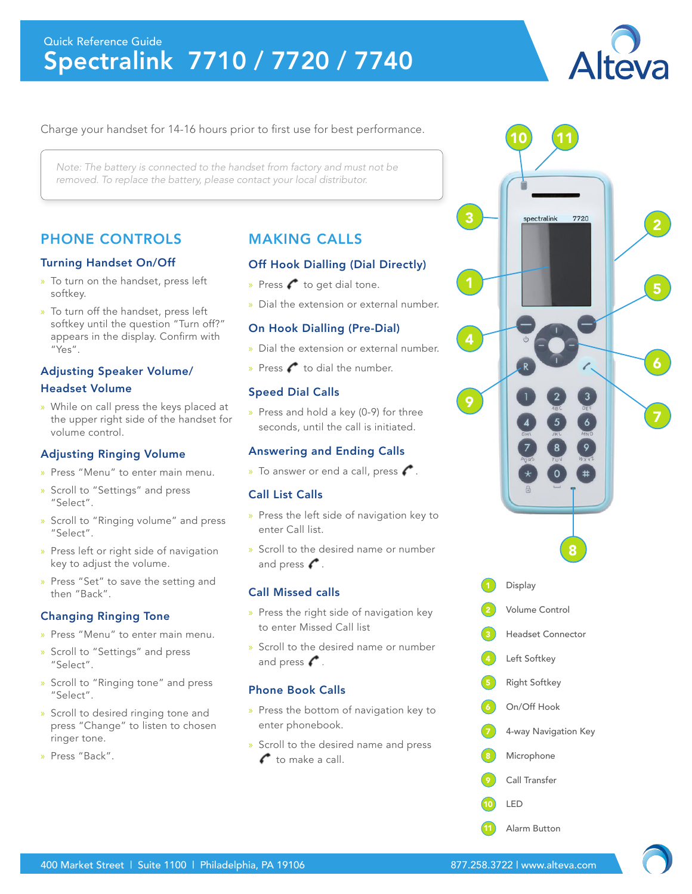# Quick Reference Guide Spectralink 7710 / 7720 / 7740



## Charge your handset for 14-16 hours prior to first use for best performance.

*Note: The battery is connected to the handset from factory and must not be removed. To replace the battery, please contact your local distributor.*

# PHONE CONTROLS

#### Turning Handset On/Off

- » To turn on the handset, press left softkey.
- » To turn off the handset, press left softkey until the question "Turn off?" appears in the display. Confirm with "Yes".

# Adjusting Speaker Volume/ Headset Volume

» While on call press the keys placed at the upper right side of the handset for volume control.

#### Adjusting Ringing Volume

- » Press "Menu" to enter main menu.
- » Scroll to "Settings" and press "Select".
- » Scroll to "Ringing volume" and press "Select".
- » Press left or right side of navigation key to adjust the volume.
- » Press "Set" to save the setting and then "Back".

# Changing Ringing Tone

- » Press "Menu" to enter main menu.
- » Scroll to "Settings" and press "Select".
- » Scroll to "Ringing tone" and press "Select".
- » Scroll to desired ringing tone and press "Change" to listen to chosen ringer tone.
- » Press "Back".

# MAKING CALLS

## Off Hook Dialling (Dial Directly)

- » Press  $\leftarrow$  to get dial tone.
- » Dial the extension or external number.

## On Hook Dialling (Pre-Dial)

- » Dial the extension or external number.
- » Press  $\bigcap$  to dial the number.

## Speed Dial Calls

» Press and hold a key (0-9) for three seconds, until the call is initiated.

# Answering and Ending Calls

» To answer or end a call, press  $\curvearrowleft$ .

# Call List Calls

- » Press the left side of navigation key to enter Call list.
- » Scroll to the desired name or number and press  $\curvearrowleft$ .

# Call Missed calls

- » Press the right side of navigation key to enter Missed Call list
- » Scroll to the desired name or number and press  $\curvearrowleft$ .

#### Phone Book Calls

- » Press the bottom of navigation key to enter phonebook.
- » Scroll to the desired name and press  $\bullet$  to make a call.

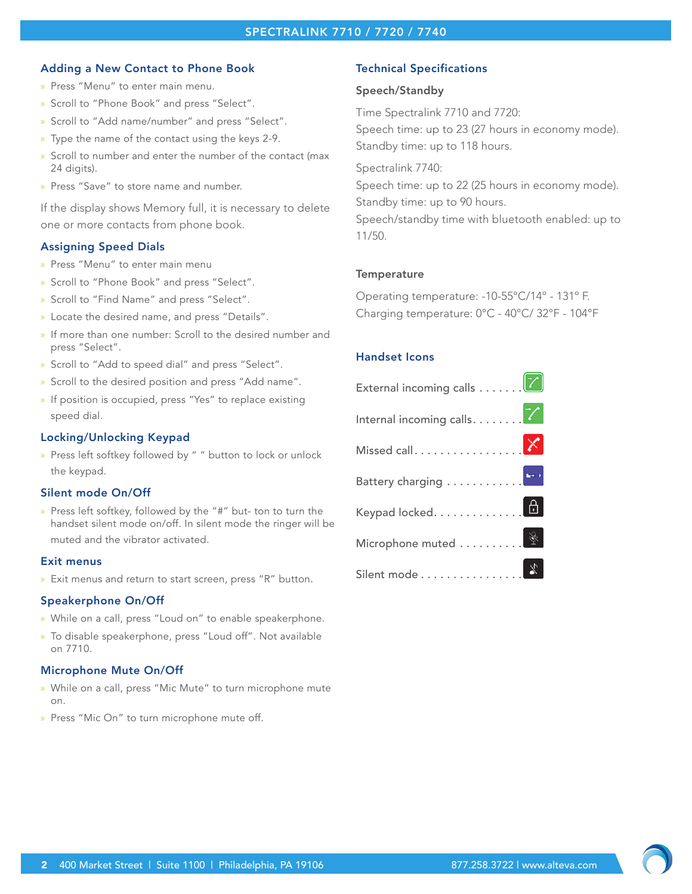# SPECTRALINK 7710 / 7720 / 7740

#### Adding a New Contact to Phone Book

- » Press "Menu" to enter main menu.
- » Scroll to "Phone Book" and press "Select".
- » Scroll to "Add name/number" and press "Select".
- » Type the name of the contact using the keys 2-9.
- » Scroll to number and enter the number of the contact (max 24 digits).
- » Press "Save" to store name and number.

If the display shows Memory full, it is necessary to delete one or more contacts from phone book.

#### Assigning Speed Dials

- » Press "Menu" to enter main menu
- » Scroll to "Phone Book" and press "Select".
- » Scroll to "Find Name" and press "Select".
- » Locate the desired name, and press "Details".
- » If more than one number: Scroll to the desired number and press "Select".
- » Scroll to "Add to speed dial" and press "Select".
- » Scroll to the desired position and press "Add name".
- » If position is occupied, press "Yes" to replace existing speed dial.

#### Locking/Unlocking Keypad

» Press left softkey followed by " " button to lock or unlock the keypad.

#### Silent mode On/Off

» Press left softkey, followed by the "#" but- ton to turn the handset silent mode on/off. In silent mode the ringer will be muted and the vibrator activated.

#### Exit menus

» Exit menus and return to start screen, press "R" button.

#### Speakerphone On/Off

- » While on a call, press "Loud on" to enable speakerphone.
- » To disable speakerphone, press "Loud off". Not available on 7710.

#### Microphone Mute On/Off

- » While on a call, press "Mic Mute" to turn microphone mute on.
- » Press "Mic On" to turn microphone mute off.

## Technical Specifications

#### Speech/Standby

Time Spectralink 7710 and 7720: Speech time: up to 23 (27 hours in economy mode). Standby time: up to 118 hours.

Spectralink 7740:

Speech time: up to 22 (25 hours in economy mode). Standby time: up to 90 hours. Speech/standby time with bluetooth enabled: up to 11/50.

#### **Temperature**

Operating temperature: -10-55°C/14º - 131º F. Charging temperature: 0°C - 40°C/ 32°F - 104°F

#### Handset Icons

| External incoming calls $\ldots \mathcal{V}$                      |
|-------------------------------------------------------------------|
| Internal incoming calls. $\ldots$                                 |
| Missed call. $\dots\dots\dots\dots$                               |
|                                                                   |
| Keypad locked. $\dots\dots\dots$                                  |
| Microphone muted $\ldots \ldots \overset{\mathbb{Q}}{\leftarrow}$ |
| Silent mode $\dots\dots\dots\dots\overset{\;\;\chi}{\;\;}$        |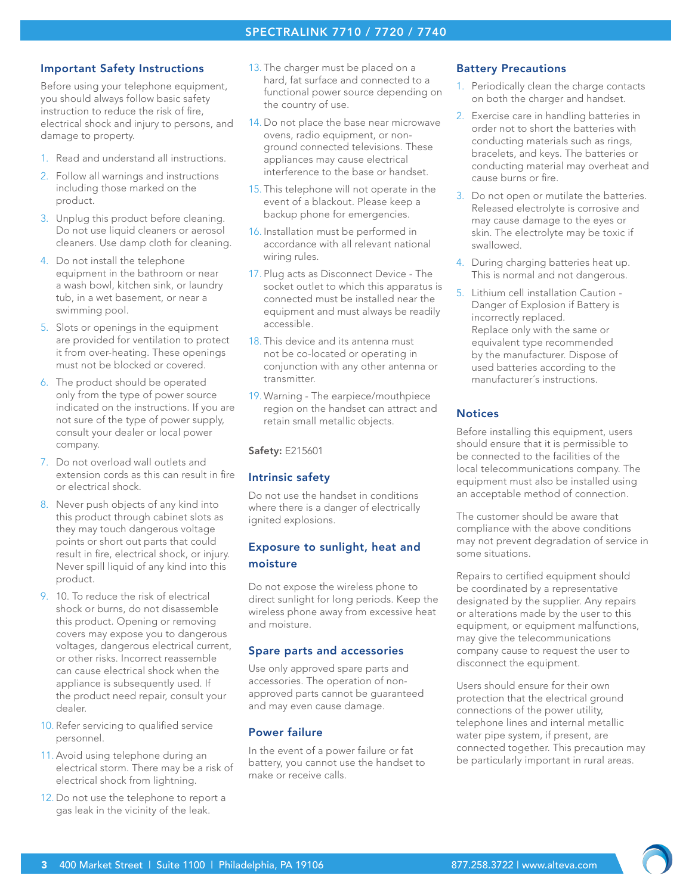## SPECTRALINK 7710 / 7720 / 7740

#### Important Safety Instructions

Before using your telephone equipment, you should always follow basic safety instruction to reduce the risk of fire, electrical shock and injury to persons, and damage to property.

- 1. Read and understand all instructions.
- 2. Follow all warnings and instructions including those marked on the product.
- 3. Unplug this product before cleaning. Do not use liquid cleaners or aerosol cleaners. Use damp cloth for cleaning.
- 4. Do not install the telephone equipment in the bathroom or near a wash bowl, kitchen sink, or laundry tub, in a wet basement, or near a swimming pool.
- 5. Slots or openings in the equipment are provided for ventilation to protect it from over-heating. These openings must not be blocked or covered.
- 6. The product should be operated only from the type of power source indicated on the instructions. If you are not sure of the type of power supply, consult your dealer or local power company.
- 7. Do not overload wall outlets and extension cords as this can result in fire or electrical shock.
- 8. Never push objects of any kind into this product through cabinet slots as they may touch dangerous voltage points or short out parts that could result in fire, electrical shock, or injury. Never spill liquid of any kind into this product.
- 9. 10. To reduce the risk of electrical shock or burns, do not disassemble this product. Opening or removing covers may expose you to dangerous voltages, dangerous electrical current, or other risks. Incorrect reassemble can cause electrical shock when the appliance is subsequently used. If the product need repair, consult your dealer.
- 10. Refer servicing to qualified service personnel.
- 11. Avoid using telephone during an electrical storm. There may be a risk of electrical shock from lightning.
- 12. Do not use the telephone to report a gas leak in the vicinity of the leak.
- 13. The charger must be placed on a hard, fat surface and connected to a functional power source depending on the country of use.
- 14. Do not place the base near microwave ovens, radio equipment, or nonground connected televisions. These appliances may cause electrical interference to the base or handset.
- 15. This telephone will not operate in the event of a blackout. Please keep a backup phone for emergencies.
- 16. Installation must be performed in accordance with all relevant national wiring rules.
- 17. Plug acts as Disconnect Device The socket outlet to which this apparatus is connected must be installed near the equipment and must always be readily accessible.
- 18. This device and its antenna must not be co-located or operating in conjunction with any other antenna or transmitter.
- 19. Warning The earpiece/mouthpiece region on the handset can attract and retain small metallic objects.

Safety: E215601

# Intrinsic safety

Do not use the handset in conditions where there is a danger of electrically ignited explosions.

# Exposure to sunlight, heat and moisture

Do not expose the wireless phone to direct sunlight for long periods. Keep the wireless phone away from excessive heat and moisture.

# Spare parts and accessories

Use only approved spare parts and accessories. The operation of nonapproved parts cannot be guaranteed and may even cause damage.

# Power failure

In the event of a power failure or fat battery, you cannot use the handset to make or receive calls.

# Battery Precautions

- 1. Periodically clean the charge contacts on both the charger and handset.
- 2. Exercise care in handling batteries in order not to short the batteries with conducting materials such as rings, bracelets, and keys. The batteries or conducting material may overheat and cause burns or fire.
- 3. Do not open or mutilate the batteries. Released electrolyte is corrosive and may cause damage to the eyes or skin. The electrolyte may be toxic if swallowed.
- 4. During charging batteries heat up. This is normal and not dangerous.
- 5. Lithium cell installation Caution Danger of Explosion if Battery is incorrectly replaced. Replace only with the same or equivalent type recommended by the manufacturer. Dispose of used batteries according to the manufacturer´s instructions.

# **Notices**

Before installing this equipment, users should ensure that it is permissible to be connected to the facilities of the local telecommunications company. The equipment must also be installed using an acceptable method of connection.

The customer should be aware that compliance with the above conditions may not prevent degradation of service in some situations.

Repairs to certified equipment should be coordinated by a representative designated by the supplier. Any repairs or alterations made by the user to this equipment, or equipment malfunctions, may give the telecommunications company cause to request the user to disconnect the equipment.

Users should ensure for their own protection that the electrical ground connections of the power utility, telephone lines and internal metallic water pipe system, if present, are connected together. This precaution may be particularly important in rural areas.